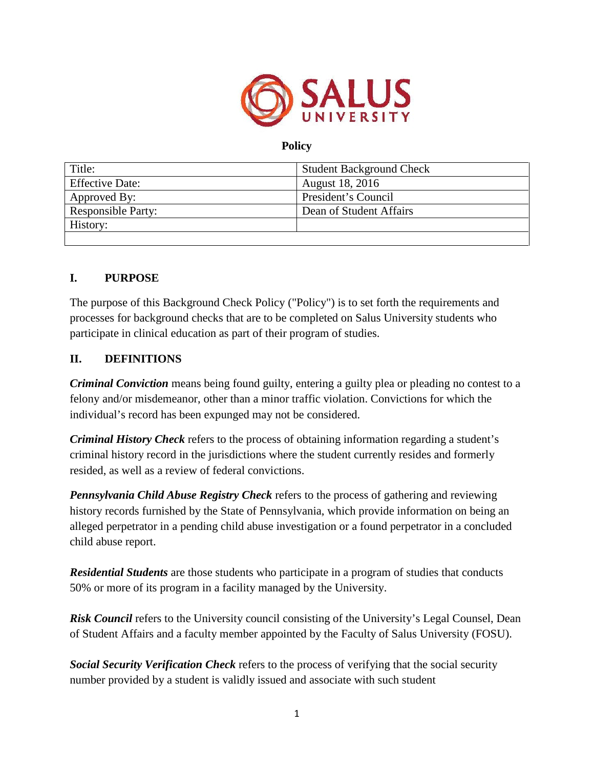

## **Policy**

| Title:                    | <b>Student Background Check</b> |
|---------------------------|---------------------------------|
| <b>Effective Date:</b>    | <b>August 18, 2016</b>          |
| Approved By:              | President's Council             |
| <b>Responsible Party:</b> | Dean of Student Affairs         |
| History:                  |                                 |
|                           |                                 |

## **I. PURPOSE**

The purpose of this Background Check Policy ("Policy") is to set forth the requirements and processes for background checks that are to be completed on Salus University students who participate in clinical education as part of their program of studies.

## **II. DEFINITIONS**

*Criminal Conviction* means being found guilty, entering a guilty plea or pleading no contest to a felony and/or misdemeanor, other than a minor traffic violation. Convictions for which the individual's record has been expunged may not be considered.

*Criminal History Check* refers to the process of obtaining information regarding a student's criminal history record in the jurisdictions where the student currently resides and formerly resided, as well as a review of federal convictions.

*Pennsylvania Child Abuse Registry Check* refers to the process of gathering and reviewing history records furnished by the State of Pennsylvania, which provide information on being an alleged perpetrator in a pending child abuse investigation or a found perpetrator in a concluded child abuse report.

*Residential Students* are those students who participate in a program of studies that conducts 50% or more of its program in a facility managed by the University.

**Risk Council** refers to the University council consisting of the University's Legal Counsel, Dean of Student Affairs and a faculty member appointed by the Faculty of Salus University (FOSU).

*Social Security Verification Check* refers to the process of verifying that the social security number provided by a student is validly issued and associate with such student